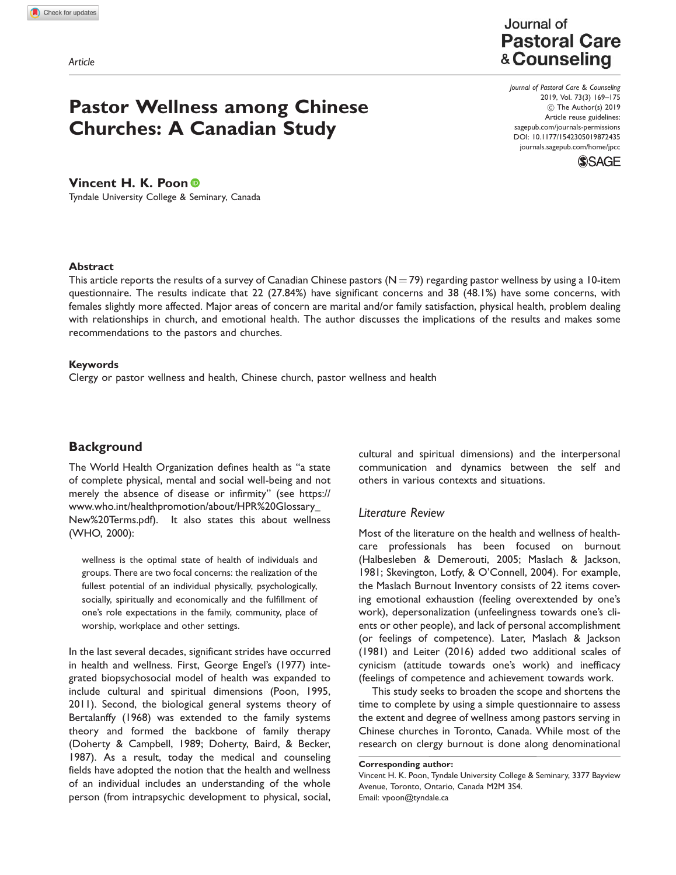Article

# Pastor Wellness among Chinese Churches: A Canadian Study

## Journal of **Pastoral Care** & Counseling

Journal of Pastoral Care & Counseling 2019, Vol. 73(3) 169–175 C The Author(s) 2019 Article reuse guidelines: [sagepub.com/journals-permissions](https://uk.sagepub.com/en-gb/journals-permissions) DOI: [10.1177/1542305019872435](https://doi.org/10.1177/1542305019872435) <journals.sagepub.com/home/jpcc>



## Vincent H. K. Poon

Tyndale University College & Seminary, Canada

#### Abstract

This article reports the results of a survey of Canadian Chinese pastors ( $N = 79$ ) regarding pastor wellness by using a 10-item questionnaire. The results indicate that 22 (27.84%) have significant concerns and 38 (48.1%) have some concerns, with females slightly more affected. Major areas of concern are marital and/or family satisfaction, physical health, problem dealing with relationships in church, and emotional health. The author discusses the implications of the results and makes some recommendations to the pastors and churches.

#### Keywords

Clergy or pastor wellness and health, Chinese church, pastor wellness and health

## **Background**

The World Health Organization defines health as ''a state of complete physical, mental and social well-being and not merely the absence of disease or infirmity'' (see [https://](https://www.who.int/healthpromotion/about/HPR%20Glossary_New%20Terms.pdf) [www.who.int/healthpromotion/about/HPR%20Glossary\\_](https://www.who.int/healthpromotion/about/HPR%20Glossary_New%20Terms.pdf) [New%20Terms.pdf](https://www.who.int/healthpromotion/about/HPR%20Glossary_New%20Terms.pdf)). It also states this about wellness (WHO, 2000):

wellness is the optimal state of health of individuals and groups. There are two focal concerns: the realization of the fullest potential of an individual physically, psychologically, socially, spiritually and economically and the fulfillment of one's role expectations in the family, community, place of worship, workplace and other settings.

In the last several decades, significant strides have occurred in health and wellness. First, George Engel's (1977) integrated biopsychosocial model of health was expanded to include cultural and spiritual dimensions (Poon, 1995, 2011). Second, the biological general systems theory of Bertalanffy (1968) was extended to the family systems theory and formed the backbone of family therapy (Doherty & Campbell, 1989; Doherty, Baird, & Becker, 1987). As a result, today the medical and counseling fields have adopted the notion that the health and wellness of an individual includes an understanding of the whole person (from intrapsychic development to physical, social, cultural and spiritual dimensions) and the interpersonal communication and dynamics between the self and others in various contexts and situations.

### Literature Review

Most of the literature on the health and wellness of healthcare professionals has been focused on burnout (Halbesleben & Demerouti, 2005; Maslach & Jackson, 1981; Skevington, Lotfy, & O'Connell, 2004). For example, the Maslach Burnout Inventory consists of 22 items covering emotional exhaustion (feeling overextended by one's work), depersonalization (unfeelingness towards one's clients or other people), and lack of personal accomplishment (or feelings of competence). Later, Maslach & Jackson (1981) and Leiter (2016) added two additional scales of cynicism (attitude towards one's work) and inefficacy (feelings of competence and achievement towards work.

This study seeks to broaden the scope and shortens the time to complete by using a simple questionnaire to assess the extent and degree of wellness among pastors serving in Chinese churches in Toronto, Canada. While most of the research on clergy burnout is done along denominational

Corresponding author:

Vincent H. K. Poon, Tyndale University College & Seminary, 3377 Bayview Avenue, Toronto, Ontario, Canada M2M 3S4. Email: vpoon@tyndale.ca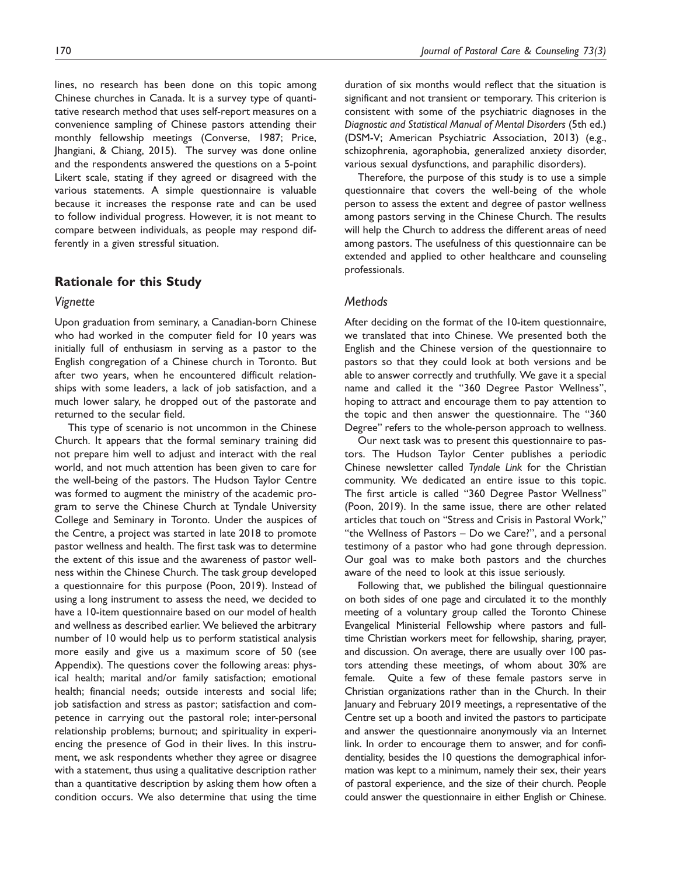lines, no research has been done on this topic among Chinese churches in Canada. It is a survey type of quantitative research method that uses self-report measures on a convenience sampling of Chinese pastors attending their monthly fellowship meetings (Converse, 1987; Price, Jhangiani, & Chiang, 2015). The survey was done online and the respondents answered the questions on a 5-point Likert scale, stating if they agreed or disagreed with the various statements. A simple questionnaire is valuable because it increases the response rate and can be used to follow individual progress. However, it is not meant to

#### Rationale for this Study

ferently in a given stressful situation.

#### Vignette

Upon graduation from seminary, a Canadian-born Chinese who had worked in the computer field for 10 years was initially full of enthusiasm in serving as a pastor to the English congregation of a Chinese church in Toronto. But after two years, when he encountered difficult relationships with some leaders, a lack of job satisfaction, and a much lower salary, he dropped out of the pastorate and returned to the secular field.

compare between individuals, as people may respond dif-

This type of scenario is not uncommon in the Chinese Church. It appears that the formal seminary training did not prepare him well to adjust and interact with the real world, and not much attention has been given to care for the well-being of the pastors. The Hudson Taylor Centre was formed to augment the ministry of the academic program to serve the Chinese Church at Tyndale University College and Seminary in Toronto. Under the auspices of the Centre, a project was started in late 2018 to promote pastor wellness and health. The first task was to determine the extent of this issue and the awareness of pastor wellness within the Chinese Church. The task group developed a questionnaire for this purpose (Poon, 2019). Instead of using a long instrument to assess the need, we decided to have a 10-item questionnaire based on our model of health and wellness as described earlier. We believed the arbitrary number of 10 would help us to perform statistical analysis more easily and give us a maximum score of 50 (see Appendix). The questions cover the following areas: physical health; marital and/or family satisfaction; emotional health; financial needs; outside interests and social life; job satisfaction and stress as pastor; satisfaction and competence in carrying out the pastoral role; inter-personal relationship problems; burnout; and spirituality in experiencing the presence of God in their lives. In this instrument, we ask respondents whether they agree or disagree with a statement, thus using a qualitative description rather than a quantitative description by asking them how often a condition occurs. We also determine that using the time duration of six months would reflect that the situation is significant and not transient or temporary. This criterion is consistent with some of the psychiatric diagnoses in the Diagnostic and Statistical Manual of Mental Disorders (5th ed.) (DSM-V; American Psychiatric Association, 2013) (e.g., schizophrenia, agoraphobia, generalized anxiety disorder, various sexual dysfunctions, and paraphilic disorders).

Therefore, the purpose of this study is to use a simple questionnaire that covers the well-being of the whole person to assess the extent and degree of pastor wellness among pastors serving in the Chinese Church. The results will help the Church to address the different areas of need among pastors. The usefulness of this questionnaire can be extended and applied to other healthcare and counseling professionals.

#### **Methods**

After deciding on the format of the 10-item questionnaire, we translated that into Chinese. We presented both the English and the Chinese version of the questionnaire to pastors so that they could look at both versions and be able to answer correctly and truthfully. We gave it a special name and called it the ''360 Degree Pastor Wellness'', hoping to attract and encourage them to pay attention to the topic and then answer the questionnaire. The ''360 Degree'' refers to the whole-person approach to wellness.

Our next task was to present this questionnaire to pastors. The Hudson Taylor Center publishes a periodic Chinese newsletter called Tyndale Link for the Christian community. We dedicated an entire issue to this topic. The first article is called ''360 Degree Pastor Wellness'' (Poon, 2019). In the same issue, there are other related articles that touch on ''Stress and Crisis in Pastoral Work,'' "the Wellness of Pastors - Do we Care?", and a personal testimony of a pastor who had gone through depression. Our goal was to make both pastors and the churches aware of the need to look at this issue seriously.

Following that, we published the bilingual questionnaire on both sides of one page and circulated it to the monthly meeting of a voluntary group called the Toronto Chinese Evangelical Ministerial Fellowship where pastors and fulltime Christian workers meet for fellowship, sharing, prayer, and discussion. On average, there are usually over 100 pastors attending these meetings, of whom about 30% are female. Quite a few of these female pastors serve in Christian organizations rather than in the Church. In their January and February 2019 meetings, a representative of the Centre set up a booth and invited the pastors to participate and answer the questionnaire anonymously via an Internet link. In order to encourage them to answer, and for confidentiality, besides the 10 questions the demographical information was kept to a minimum, namely their sex, their years of pastoral experience, and the size of their church. People could answer the questionnaire in either English or Chinese.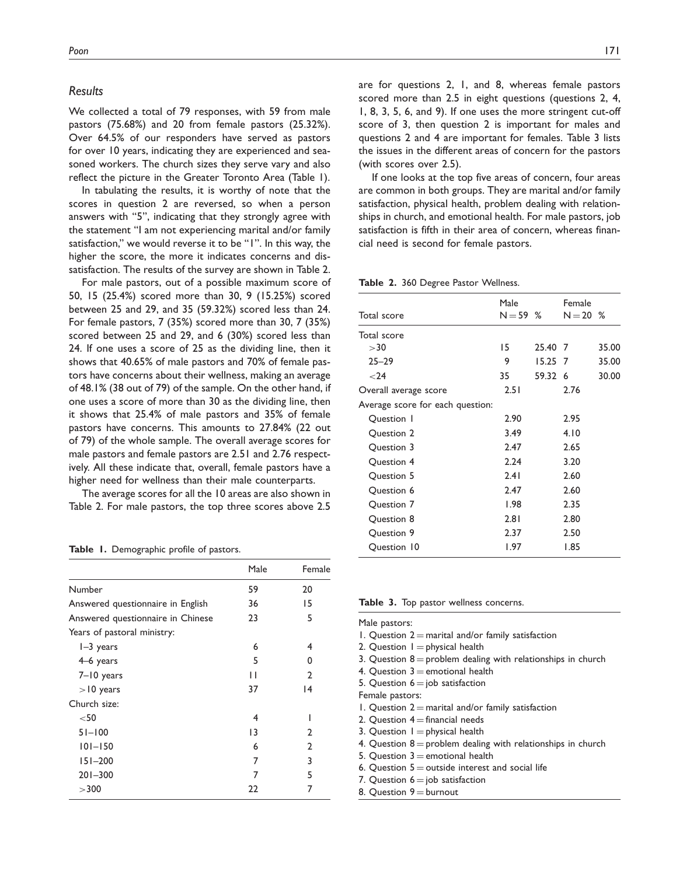#### Results

We collected a total of 79 responses, with 59 from male pastors (75.68%) and 20 from female pastors (25.32%). Over 64.5% of our responders have served as pastors for over 10 years, indicating they are experienced and seasoned workers. The church sizes they serve vary and also reflect the picture in the Greater Toronto Area (Table 1).

In tabulating the results, it is worthy of note that the scores in question 2 are reversed, so when a person answers with ''5'', indicating that they strongly agree with the statement ''I am not experiencing marital and/or family satisfaction," we would reverse it to be "I". In this way, the higher the score, the more it indicates concerns and dissatisfaction. The results of the survey are shown in Table 2.

For male pastors, out of a possible maximum score of 50, 15 (25.4%) scored more than 30, 9 (15.25%) scored between 25 and 29, and 35 (59.32%) scored less than 24. For female pastors, 7 (35%) scored more than 30, 7 (35%) scored between 25 and 29, and 6 (30%) scored less than 24. If one uses a score of 25 as the dividing line, then it shows that 40.65% of male pastors and 70% of female pastors have concerns about their wellness, making an average of 48.1% (38 out of 79) of the sample. On the other hand, if one uses a score of more than 30 as the dividing line, then it shows that 25.4% of male pastors and 35% of female pastors have concerns. This amounts to 27.84% (22 out of 79) of the whole sample. The overall average scores for male pastors and female pastors are 2.51 and 2.76 respectively. All these indicate that, overall, female pastors have a higher need for wellness than their male counterparts.

The average scores for all the 10 areas are also shown in Table 2. For male pastors, the top three scores above 2.5

Table 1. Demographic profile of pastors.

|                                   | Male            | Female         |
|-----------------------------------|-----------------|----------------|
| Number                            | 59              | 20             |
| Answered questionnaire in English | 36              | 15             |
| Answered questionnaire in Chinese | 23              | 5              |
| Years of pastoral ministry:       |                 |                |
| $I-3$ years                       | 6               | 4              |
| $4-6$ years                       | 5               | 0              |
| 7-10 years                        | Н               | $\overline{2}$ |
| $>10$ years                       | 37              | 4              |
| Church size:                      |                 |                |
| $50$                              | 4               |                |
| $51 - 100$                        | $\overline{13}$ | $\mathcal{L}$  |
| $101 - 150$                       | 6               | 2              |
| $151 - 200$                       | 7               | 3              |
| $201 - 300$                       | 7               | 5              |
| >300                              | 22              | 7              |

are for questions 2, 1, and 8, whereas female pastors scored more than 2.5 in eight questions (questions 2, 4, 1, 8, 3, 5, 6, and 9). If one uses the more stringent cut-off score of 3, then question 2 is important for males and questions 2 and 4 are important for females. Table 3 lists the issues in the different areas of concern for the pastors

If one looks at the top five areas of concern, four areas are common in both groups. They are marital and/or family satisfaction, physical health, problem dealing with relationships in church, and emotional health. For male pastors, job satisfaction is fifth in their area of concern, whereas financial need is second for female pastors.

Table 2. 360 Degree Pastor Wellness.

(with scores over 2.5).

| Total score                      | Male<br>$N = 59$ % |           | Female<br>$N = 20$ % |       |
|----------------------------------|--------------------|-----------|----------------------|-------|
|                                  |                    |           |                      |       |
| Total score                      |                    |           |                      |       |
| $>$ 30                           | 15                 | 25.40 7   |                      | 35.00 |
| $25 - 29$                        | 9                  | $15.25$ 7 |                      | 35.00 |
| $24$                             | 35                 | 59.32 6   |                      | 30.00 |
| Overall average score            | 2.51               |           | 2.76                 |       |
| Average score for each question: |                    |           |                      |       |
| Question 1                       | 2.90               |           | 2.95                 |       |
| Question 2                       | 3.49               |           | 4.10                 |       |
| Question 3                       | 2.47               |           | 2.65                 |       |
| Question 4                       | 2.24               |           | 3.20                 |       |
| Question 5                       | 2.41               |           | 2.60                 |       |
| Question 6                       | 2.47               |           | 2.60                 |       |
| Question 7                       | 1.98               |           | 2.35                 |       |
| Question 8                       | 2.81               |           | 2.80                 |       |
| Question 9                       | 2.37               |           | 2.50                 |       |
| Question 10                      | 1.97               |           | 1.85                 |       |

Table 3. Top pastor wellness concerns.

| Male pastors:                                                  |
|----------------------------------------------------------------|
| 1. Question $2 =$ marital and/or family satisfaction           |
| 2. Question $I =$ physical health                              |
| 3. Question $8$ = problem dealing with relationships in church |
| 4. Question $3$ = emotional health                             |
| 5. Question $6 =$ job satisfaction                             |
| Female pastors:                                                |
| 1. Question $2 =$ marital and/or family satisfaction           |
| 2. Question $4 =$ financial needs                              |
| 3. Question $I =$ physical health                              |
| 4. Question $8$ = problem dealing with relationships in church |
| 5. Question $3$ = emotional health                             |
| 6. Question $5 =$ outside interest and social life             |
| 7. Question $6 = job$ satisfaction                             |
| 8. Question $9 =$ burnout                                      |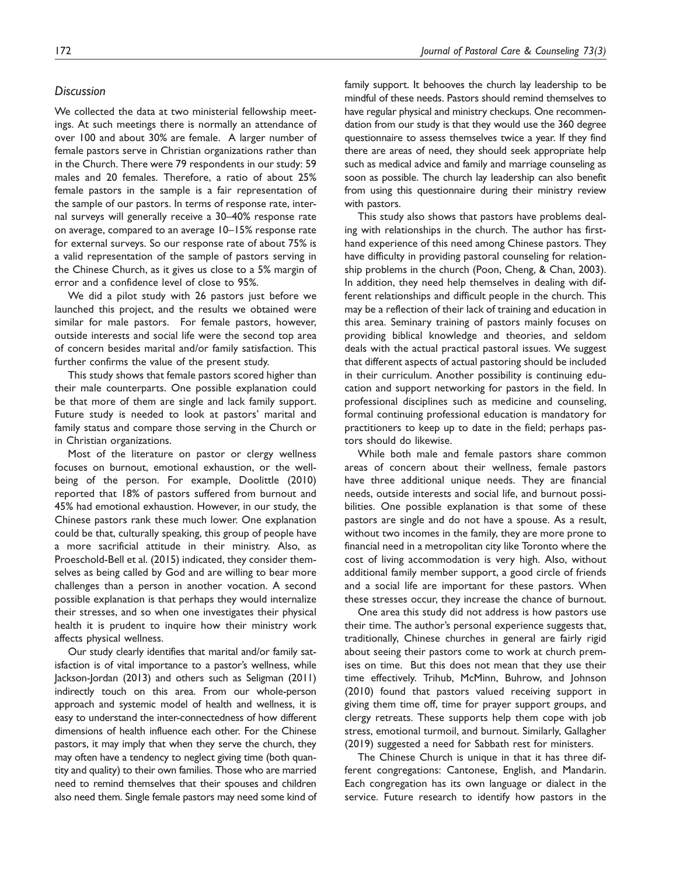#### **Discussion**

We collected the data at two ministerial fellowship meetings. At such meetings there is normally an attendance of over 100 and about 30% are female. A larger number of female pastors serve in Christian organizations rather than in the Church. There were 79 respondents in our study: 59 males and 20 females. Therefore, a ratio of about 25% female pastors in the sample is a fair representation of the sample of our pastors. In terms of response rate, internal surveys will generally receive a 30–40% response rate on average, compared to an average 10–15% response rate for external surveys. So our response rate of about 75% is a valid representation of the sample of pastors serving in the Chinese Church, as it gives us close to a 5% margin of error and a confidence level of close to 95%.

We did a pilot study with 26 pastors just before we launched this project, and the results we obtained were similar for male pastors. For female pastors, however, outside interests and social life were the second top area of concern besides marital and/or family satisfaction. This further confirms the value of the present study.

This study shows that female pastors scored higher than their male counterparts. One possible explanation could be that more of them are single and lack family support. Future study is needed to look at pastors' marital and family status and compare those serving in the Church or in Christian organizations.

Most of the literature on pastor or clergy wellness focuses on burnout, emotional exhaustion, or the wellbeing of the person. For example, Doolittle (2010) reported that 18% of pastors suffered from burnout and 45% had emotional exhaustion. However, in our study, the Chinese pastors rank these much lower. One explanation could be that, culturally speaking, this group of people have a more sacrificial attitude in their ministry. Also, as Proeschold-Bell et al. (2015) indicated, they consider themselves as being called by God and are willing to bear more challenges than a person in another vocation. A second possible explanation is that perhaps they would internalize their stresses, and so when one investigates their physical health it is prudent to inquire how their ministry work affects physical wellness.

Our study clearly identifies that marital and/or family satisfaction is of vital importance to a pastor's wellness, while Jackson-Jordan (2013) and others such as Seligman (2011) indirectly touch on this area. From our whole-person approach and systemic model of health and wellness, it is easy to understand the inter-connectedness of how different dimensions of health influence each other. For the Chinese pastors, it may imply that when they serve the church, they may often have a tendency to neglect giving time (both quantity and quality) to their own families. Those who are married need to remind themselves that their spouses and children also need them. Single female pastors may need some kind of family support. It behooves the church lay leadership to be mindful of these needs. Pastors should remind themselves to have regular physical and ministry checkups. One recommendation from our study is that they would use the 360 degree questionnaire to assess themselves twice a year. If they find there are areas of need, they should seek appropriate help such as medical advice and family and marriage counseling as soon as possible. The church lay leadership can also benefit from using this questionnaire during their ministry review with pastors.

This study also shows that pastors have problems dealing with relationships in the church. The author has firsthand experience of this need among Chinese pastors. They have difficulty in providing pastoral counseling for relationship problems in the church (Poon, Cheng, & Chan, 2003). In addition, they need help themselves in dealing with different relationships and difficult people in the church. This may be a reflection of their lack of training and education in this area. Seminary training of pastors mainly focuses on providing biblical knowledge and theories, and seldom deals with the actual practical pastoral issues. We suggest that different aspects of actual pastoring should be included in their curriculum. Another possibility is continuing education and support networking for pastors in the field. In professional disciplines such as medicine and counseling, formal continuing professional education is mandatory for practitioners to keep up to date in the field; perhaps pastors should do likewise.

While both male and female pastors share common areas of concern about their wellness, female pastors have three additional unique needs. They are financial needs, outside interests and social life, and burnout possibilities. One possible explanation is that some of these pastors are single and do not have a spouse. As a result, without two incomes in the family, they are more prone to financial need in a metropolitan city like Toronto where the cost of living accommodation is very high. Also, without additional family member support, a good circle of friends and a social life are important for these pastors. When these stresses occur, they increase the chance of burnout.

One area this study did not address is how pastors use their time. The author's personal experience suggests that, traditionally, Chinese churches in general are fairly rigid about seeing their pastors come to work at church premises on time. But this does not mean that they use their time effectively. Trihub, McMinn, Buhrow, and Johnson (2010) found that pastors valued receiving support in giving them time off, time for prayer support groups, and clergy retreats. These supports help them cope with job stress, emotional turmoil, and burnout. Similarly, Gallagher (2019) suggested a need for Sabbath rest for ministers.

The Chinese Church is unique in that it has three different congregations: Cantonese, English, and Mandarin. Each congregation has its own language or dialect in the service. Future research to identify how pastors in the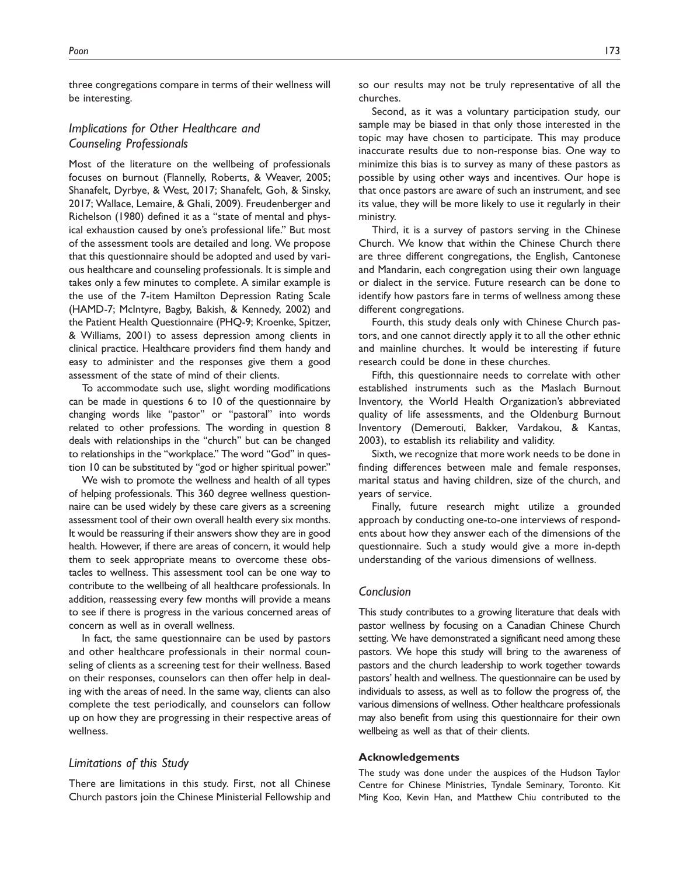three congregations compare in terms of their wellness will be interesting.

## Implications for Other Healthcare and Counseling Professionals

Most of the literature on the wellbeing of professionals focuses on burnout (Flannelly, Roberts, & Weaver, 2005; Shanafelt, Dyrbye, & West, 2017; Shanafelt, Goh, & Sinsky, 2017; Wallace, Lemaire, & Ghali, 2009). Freudenberger and Richelson (1980) defined it as a ''state of mental and physical exhaustion caused by one's professional life.'' But most of the assessment tools are detailed and long. We propose that this questionnaire should be adopted and used by various healthcare and counseling professionals. It is simple and takes only a few minutes to complete. A similar example is the use of the 7-item Hamilton Depression Rating Scale (HAMD-7; McIntyre, Bagby, Bakish, & Kennedy, 2002) and the Patient Health Questionnaire (PHQ-9; Kroenke, Spitzer, & Williams, 2001) to assess depression among clients in clinical practice. Healthcare providers find them handy and easy to administer and the responses give them a good assessment of the state of mind of their clients.

To accommodate such use, slight wording modifications can be made in questions 6 to 10 of the questionnaire by changing words like ''pastor'' or ''pastoral'' into words related to other professions. The wording in question 8 deals with relationships in the ''church'' but can be changed to relationships in the ''workplace.'' The word ''God'' in question 10 can be substituted by ''god or higher spiritual power.''

We wish to promote the wellness and health of all types of helping professionals. This 360 degree wellness questionnaire can be used widely by these care givers as a screening assessment tool of their own overall health every six months. It would be reassuring if their answers show they are in good health. However, if there are areas of concern, it would help them to seek appropriate means to overcome these obstacles to wellness. This assessment tool can be one way to contribute to the wellbeing of all healthcare professionals. In addition, reassessing every few months will provide a means to see if there is progress in the various concerned areas of concern as well as in overall wellness.

In fact, the same questionnaire can be used by pastors and other healthcare professionals in their normal counseling of clients as a screening test for their wellness. Based on their responses, counselors can then offer help in dealing with the areas of need. In the same way, clients can also complete the test periodically, and counselors can follow up on how they are progressing in their respective areas of wellness.

#### Limitations of this Study

There are limitations in this study. First, not all Chinese Church pastors join the Chinese Ministerial Fellowship and so our results may not be truly representative of all the churches.

Second, as it was a voluntary participation study, our sample may be biased in that only those interested in the topic may have chosen to participate. This may produce inaccurate results due to non-response bias. One way to minimize this bias is to survey as many of these pastors as possible by using other ways and incentives. Our hope is that once pastors are aware of such an instrument, and see its value, they will be more likely to use it regularly in their ministry.

Third, it is a survey of pastors serving in the Chinese Church. We know that within the Chinese Church there are three different congregations, the English, Cantonese and Mandarin, each congregation using their own language or dialect in the service. Future research can be done to identify how pastors fare in terms of wellness among these different congregations.

Fourth, this study deals only with Chinese Church pastors, and one cannot directly apply it to all the other ethnic and mainline churches. It would be interesting if future research could be done in these churches.

Fifth, this questionnaire needs to correlate with other established instruments such as the Maslach Burnout Inventory, the World Health Organization's abbreviated quality of life assessments, and the Oldenburg Burnout Inventory (Demerouti, Bakker, Vardakou, & Kantas, 2003), to establish its reliability and validity.

Sixth, we recognize that more work needs to be done in finding differences between male and female responses, marital status and having children, size of the church, and years of service.

Finally, future research might utilize a grounded approach by conducting one-to-one interviews of respondents about how they answer each of the dimensions of the questionnaire. Such a study would give a more in-depth understanding of the various dimensions of wellness.

#### Conclusion

This study contributes to a growing literature that deals with pastor wellness by focusing on a Canadian Chinese Church setting. We have demonstrated a significant need among these pastors. We hope this study will bring to the awareness of pastors and the church leadership to work together towards pastors' health and wellness. The questionnaire can be used by individuals to assess, as well as to follow the progress of, the various dimensions of wellness. Other healthcare professionals may also benefit from using this questionnaire for their own wellbeing as well as that of their clients.

#### Acknowledgements

The study was done under the auspices of the Hudson Taylor Centre for Chinese Ministries, Tyndale Seminary, Toronto. Kit Ming Koo, Kevin Han, and Matthew Chiu contributed to the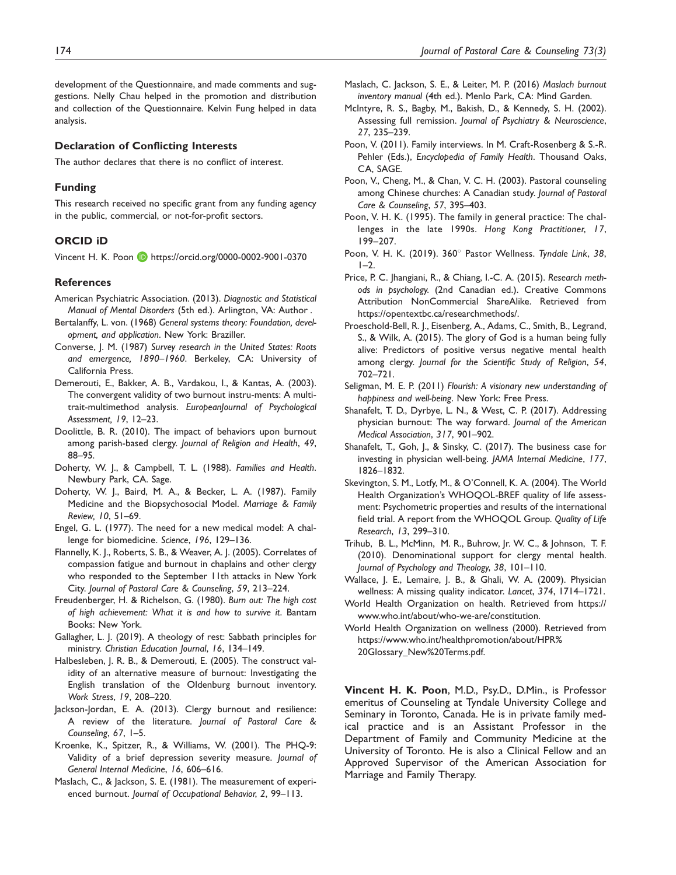development of the Questionnaire, and made comments and suggestions. Nelly Chau helped in the promotion and distribution and collection of the Questionnaire. Kelvin Fung helped in data analysis.

#### Declaration of Conflicting Interests

The author declares that there is no conflict of interest.

#### Funding

This research received no specific grant from any funding agency in the public, commercial, or not-for-profit sectors.

#### ORCID iD

Vincent H. K. Poon D https://orcid.org/0000-0002-9001-0370

#### References

- American Psychiatric Association. (2013). Diagnostic and Statistical Manual of Mental Disorders (5th ed.). Arlington, VA: Author .
- Bertalanffy, L. von. (1968) General systems theory: Foundation, development, and application. New York: Braziller.
- Converse, J. M. (1987) Survey research in the United States: Roots and emergence, 1890–1960. Berkeley, CA: University of California Press.
- Demerouti, E., Bakker, A. B., Vardakou, I., & Kantas, A. (2003). The convergent validity of two burnout instru-ments: A multitrait-multimethod analysis. EuropeanJournal of Psychological Assessment, 19, 12–23.
- Doolittle, B. R. (2010). The impact of behaviors upon burnout among parish-based clergy. Journal of Religion and Health, 49, 88–95.
- Doherty, W. J., & Campbell, T. L. (1988). Families and Health. Newbury Park, CA. Sage.
- Doherty, W. J., Baird, M. A., & Becker, L. A. (1987). Family Medicine and the Biopsychosocial Model. Marriage & Family Review, 10, 51–69.
- Engel, G. L. (1977). The need for a new medical model: A challenge for biomedicine. Science, 196, 129–136.
- Flannelly, K. J., Roberts, S. B., & Weaver, A. J. (2005). Correlates of compassion fatigue and burnout in chaplains and other clergy who responded to the September 11th attacks in New York City. Journal of Pastoral Care & Counseling, 59, 213–224.
- Freudenberger, H. & Richelson, G. (1980). Burn out: The high cost of high achievement: What it is and how to survive it. Bantam Books: New York.
- Gallagher, L. J. (2019). A theology of rest: Sabbath principles for ministry. Christian Education Journal, 16, 134–149.
- Halbesleben, J. R. B., & Demerouti, E. (2005). The construct validity of an alternative measure of burnout: Investigating the English translation of the Oldenburg burnout inventory. Work Stress, 19, 208–220.
- Jackson-Jordan, E. A. (2013). Clergy burnout and resilience: A review of the literature. Journal of Pastoral Care & Counseling, 67, 1–5.
- Kroenke, K., Spitzer, R., & Williams, W. (2001). The PHQ-9: Validity of a brief depression severity measure. Journal of General Internal Medicine, 16, 606–616.
- Maslach, C., & Jackson, S. E. (1981). The measurement of experienced burnout. Journal of Occupational Behavior, 2, 99–113.
- Maslach, C. Jackson, S. E., & Leiter, M. P. (2016) Maslach burnout inventory manual (4th ed.). Menlo Park, CA: Mind Garden.
- McIntyre, R. S., Bagby, M., Bakish, D., & Kennedy, S. H. (2002). Assessing full remission. Journal of Psychiatry & Neuroscience, 27, 235–239.
- Poon, V. (2011). Family interviews. In M. Craft-Rosenberg & S.-R. Pehler (Eds.), Encyclopedia of Family Health. Thousand Oaks, CA, SAGE.
- Poon, V., Cheng, M., & Chan, V. C. H. (2003). Pastoral counseling among Chinese churches: A Canadian study. Journal of Pastoral Care & Counseling, 57, 395–403.
- Poon, V. H. K. (1995). The family in general practice: The challenges in the late 1990s. Hong Kong Practitioner, 17, 199–207.
- Poon, V. H. K. (2019). 360° Pastor Wellness. Tyndale Link, 38,  $I-2$
- Price, P. C. Jhangiani, R., & Chiang, I.-C. A. (2015). Research methods in psychology. (2nd Canadian ed.). Creative Commons Attribution NonCommercial ShareAlike. Retrieved from [https://opentextbc.ca/researchmethods/.](https://opentextbc.ca/researchmethods/)
- Proeschold-Bell, R. J., Eisenberg, A., Adams, C., Smith, B., Legrand, S., & Wilk, A. (2015). The glory of God is a human being fully alive: Predictors of positive versus negative mental health among clergy. Journal for the Scientific Study of Religion, 54, 702–721.
- Seligman, M. E. P. (2011) Flourish: A visionary new understanding of happiness and well-being. New York: Free Press.
- Shanafelt, T. D., Dyrbye, L. N., & West, C. P. (2017). Addressing physician burnout: The way forward. Journal of the American Medical Association, 317, 901–902.
- Shanafelt, T., Goh, J., & Sinsky, C. (2017). The business case for investing in physician well-being. JAMA Internal Medicine, 177, 1826–1832.
- Skevington, S. M., Lotfy, M., & O'Connell, K. A. (2004). The World Health Organization's WHOQOL-BREF quality of life assessment: Psychometric properties and results of the international field trial. A report from the WHOQOL Group. Quality of Life Research, 13, 299–310.
- Trihub, B. L., McMinn, M. R., Buhrow, Jr. W. C., & Johnson, T. F. (2010). Denominational support for clergy mental health. Journal of Psychology and Theology, 38, 101–110.
- Wallace, J. E., Lemaire, J. B., & Ghali, W. A. (2009). Physician wellness: A missing quality indicator. Lancet, 374, 1714–1721.
- World Health Organization on health. Retrieved from [https://](https://www.who.int/about/who-we-are/constitution) [www.who.int/about/who-we-are/constitution](https://www.who.int/about/who-we-are/constitution).
- World Health Organization on wellness (2000). Retrieved from [https://www.who.int/healthpromotion/about/HPR%](https://www.who.int/healthpromotion/about/HPR%20Glossary_New%20Terms.pdf) [20Glossary\\_New%20Terms.pdf.](https://www.who.int/healthpromotion/about/HPR%20Glossary_New%20Terms.pdf)

Vincent H. K. Poon, M.D., Psy.D., D.Min., is Professor emeritus of Counseling at Tyndale University College and Seminary in Toronto, Canada. He is in private family medical practice and is an Assistant Professor in the Department of Family and Community Medicine at the University of Toronto. He is also a Clinical Fellow and an Approved Supervisor of the American Association for Marriage and Family Therapy.